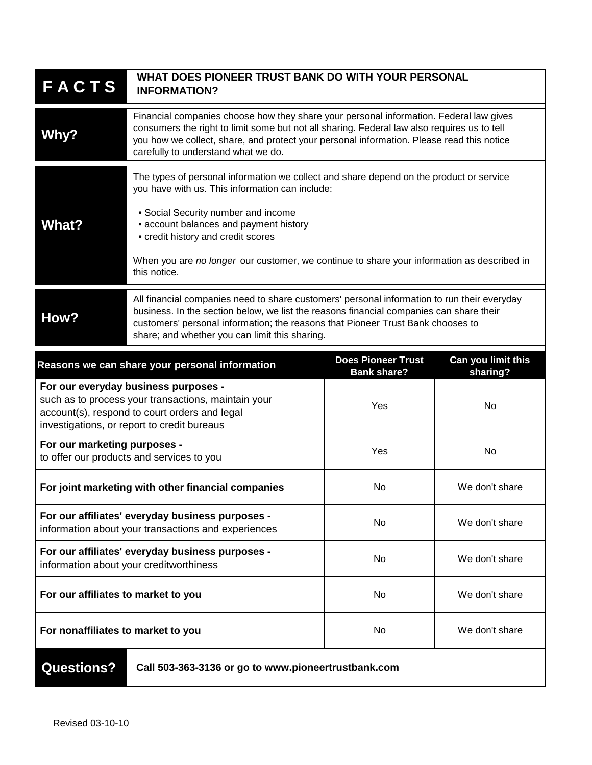| <b>FACTS</b>                                                                                                                                                                                | WHAT DOES PIONEER TRUST BANK DO WITH YOUR PERSONAL<br><b>INFORMATION?</b>                                                                                                                                                                                                                                                                                                       |     |                |
|---------------------------------------------------------------------------------------------------------------------------------------------------------------------------------------------|---------------------------------------------------------------------------------------------------------------------------------------------------------------------------------------------------------------------------------------------------------------------------------------------------------------------------------------------------------------------------------|-----|----------------|
| Why?                                                                                                                                                                                        | Financial companies choose how they share your personal information. Federal law gives<br>consumers the right to limit some but not all sharing. Federal law also requires us to tell<br>you how we collect, share, and protect your personal information. Please read this notice<br>carefully to understand what we do.                                                       |     |                |
| <b>What?</b>                                                                                                                                                                                | The types of personal information we collect and share depend on the product or service<br>you have with us. This information can include:<br>• Social Security number and income<br>• account balances and payment history<br>• credit history and credit scores<br>When you are no longer our customer, we continue to share your information as described in<br>this notice. |     |                |
| How?                                                                                                                                                                                        | All financial companies need to share customers' personal information to run their everyday<br>business. In the section below, we list the reasons financial companies can share their<br>customers' personal information; the reasons that Pioneer Trust Bank chooses to<br>share; and whether you can limit this sharing.                                                     |     |                |
| Can you limit this<br><b>Does Pioneer Trust</b><br>Reasons we can share your personal information<br>sharing?<br><b>Bank share?</b>                                                         |                                                                                                                                                                                                                                                                                                                                                                                 |     |                |
| For our everyday business purposes -<br>such as to process your transactions, maintain your<br>account(s), respond to court orders and legal<br>investigations, or report to credit bureaus |                                                                                                                                                                                                                                                                                                                                                                                 | Yes | No             |
| For our marketing purposes -<br>to offer our products and services to you                                                                                                                   |                                                                                                                                                                                                                                                                                                                                                                                 | Yes | No             |
| For joint marketing with other financial companies                                                                                                                                          |                                                                                                                                                                                                                                                                                                                                                                                 | No  | We don't share |
| For our affiliates' everyday business purposes -<br>information about your transactions and experiences                                                                                     |                                                                                                                                                                                                                                                                                                                                                                                 | No  | We don't share |
| For our affiliates' everyday business purposes -<br>information about your creditworthiness                                                                                                 |                                                                                                                                                                                                                                                                                                                                                                                 | No  | We don't share |
| For our affiliates to market to you                                                                                                                                                         |                                                                                                                                                                                                                                                                                                                                                                                 | No  | We don't share |
| For nonaffiliates to market to you                                                                                                                                                          |                                                                                                                                                                                                                                                                                                                                                                                 | No  | We don't share |
| <b>Questions?</b><br>Call 503-363-3136 or go to www.pioneertrustbank.com                                                                                                                    |                                                                                                                                                                                                                                                                                                                                                                                 |     |                |